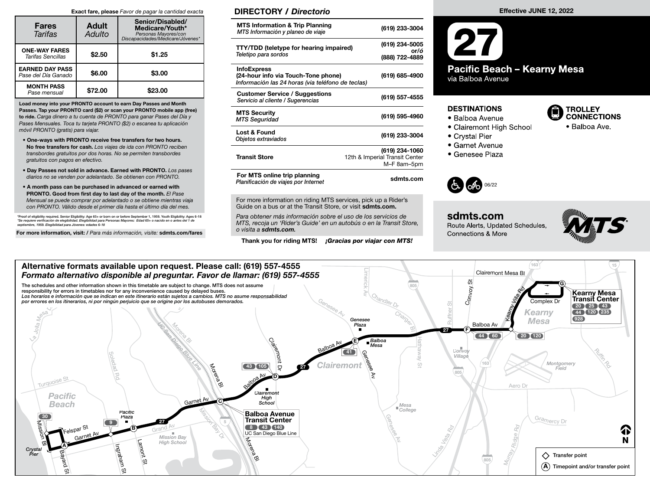#### Exact fare, please Favor de pagar la cantidad exacta

| <b>Fares</b><br>Tarifas                          | <b>Adult</b><br>Adulto | Senior/Disabled/<br>Medicare/Youth*<br>Personas Mayores/con<br>Discapacidades/Medicare/Jóvenes* |
|--------------------------------------------------|------------------------|-------------------------------------------------------------------------------------------------|
| <b>ONE-WAY FARES</b><br><b>Tarifas Sencillas</b> | \$2.50                 | \$1.25                                                                                          |
| <b>EARNED DAY PASS</b><br>Pase del Día Ganado    | \$6.00                 | \$3.00                                                                                          |
| <b>MONTH PASS</b><br>Pase mensual                | \$72.00                | \$23.00                                                                                         |

Load money into your PRONTO account to earn Day Passes and Month Passes. Tap your PRONTO card (\$2) or scan your PRONTO mobile app (free) to ride. Carga dinero a tu cuenta de PRONTO para ganar Pases del Día y Pases Mensuales. Toca tu tarjeta PRONTO (\$2) o escanea tu aplicación móvil PRONTO (gratis) para viajar.

- One-ways with PRONTO receive free transfers for two hours. No free transfers for cash. Los viajes de ida con PRONTO reciben transbordes gratuitos por dos horas. No se permiten transbordes gratuitos con pagos en efectivo.
- Day Passes not sold in advance. Earned with PRONTO. Los pases diarios no se venden por adelantado. Se obtienen con PRONTO.
- A month pass can be purchased in advanced or earned with PRONTO. Good from first day to last day of the month. El Pase Mensual se puede comprar por adelantado o se obtiene mientras viaja con PRONTO. Válido desde el primer día hasta el último día del mes.

\*Proof of eligibility required. Senior Eligibility: Age 65+ or born on or before September 1, 1959. Youth Eligibility: Ages 6-18<br>\*Se requiere verificación de elegibilidad. Elegibilidad para Personas Mayores: Edad 65+ o nac se requiere vermeación de elegibilidad. Elegibilidad para<br>septiembre, 1959. Elegibilidad para Jóvenes: edades 6-18

For more information, visit: / Para más información, visite: sdmts.com/fares

### DIRECTORY / Directorio

| <b>MTS Information &amp; Trip Planning</b><br>MTS Información y planeo de viaje                                | (619) 233-3004                                                  |
|----------------------------------------------------------------------------------------------------------------|-----------------------------------------------------------------|
| <b>TTY/TDD (teletype for hearing impaired)</b><br>Teletipo para sordos                                         | (619) 234-5005<br>or/ó<br>(888) 722-4889                        |
| <b>InfoExpress</b><br>(24-hour info via Touch-Tone phone)<br>Información las 24 horas (via teléfono de teclas) | (619) 685-4900                                                  |
| <b>Customer Service / Suggestions</b><br>Servicio al cliente / Sugerencias                                     | (619) 557-4555                                                  |
| <b>MTS Security</b><br><b>MTS Seguridad</b>                                                                    | (619) 595-4960                                                  |
| <b>Lost &amp; Found</b><br>Objetos extraviados                                                                 | (619) 233-3004                                                  |
| <b>Transit Store</b>                                                                                           | (619) 234-1060<br>12th & Imperial Transit Center<br>M-F 8am-5pm |
| For MTS online trip planning<br>Planificación de viajes por Internet                                           | sdmts.com                                                       |
|                                                                                                                |                                                                 |

For more information on riding MTS services, pick up a Rider's Guide on a bus or at the Transit Store, or visit sdmts.com.

Para obtener más información sobre el uso de los servicios de MTS, recoja un 'Rider's Guide' en un autobús o en la Transit Store, o visita a sdmts.com.

Thank you for riding MTS! **¡Gracias por viajar con MTS!** 

# **Pacific Beach - Kearny Mesa** via Balboa Avenue

#### **DESTINATIONS**

- Balboa Avenue
- Clairemont High School
- Crystal Pier
- 
- Garnet Avenue · Genesee Plaza
- 



#### sdmts.com Route Alerts, Updated Schedules,

**Connections & More** 



**TROLLEY CONNECTIONS** 

• Balboa Ave

#### Alternative formats available upon request. Please call: (619) 557-4555  $163$  ( $15$ Clairemont Mes<sup>a</sup> Bl i. Formato alternativo disponible al preguntar. Favor de llamar: (619) 557-4555 Convoy St The schedules and other information shown in this timetable are subject to change. MTS does not assume G 805  $\overline{\frown}$ Rd responsibility for errors in timetables nor for any inconvenience caused by delayed buses. Kearny Mesa Transit Center Av Chandler Dr Los horarios e información que se indican en este itinerario están sujetos a cambios. MTS no asume responsabilidad Villa Los horarios e información que se indican en este itinerario están sujetos a cambios. MTS no asur<br>por errores en los itinerarios, ni por ningún perjuicio que se origine por los autobuses demorados.<br>A construir and a constr Complex Dr <sup>G</sup>enese<sup>e</sup> <sup>A</sup><sup>v</sup> Ruffner St 20 25 43 Polla Mesa Kearny 44 (120) 235 Charge 928 Genesee Mesa UC SAN DIEGO BLUE LINE Plaza Balboa Av Morena Bl 27 F 44 60 Hathaway Clairemo Balboa E Balboa AV Mesa **III** Convo Ruffin Ro 41 e av de Av Genese<br>Genese Av Genese Soledad<br>Soledad Village nMontgomery<br>Field  $\omega$ 163 Motera B  $(43)$   $(105)$ -Clairem **Blue Company Reported Street, Company Reported Street, Company Reported Street, Company Reported Street, Company Reported Street, Company Reported Street, Company Reported Street, Company Reported Street, Company Reported** 27 D $\overline{\phantom{a}}$ 805 Rd Balboa Av <sup>T</sup>urquois<sup>e</sup> <sup>S</sup><sup>t</sup> D Aero D **Clairemont** Pacific <sup>G</sup>arne<sup>t</sup> <sup>A</sup><sup>v</sup> High C School Beach Mesa College Pacific Mission Bay Dr. Balboa Avenue  $\boxed{30}$ Plaza GenGramercy Dr Transit Center 27 9 5 Mission Grand Av 8 43 140 Felspar <sup>S</sup><sup>t</sup> <sup>G</sup>arnet <sup>A</sup><sup>v</sup> Rd Ridge Rd B 小 UC San Diego Blue Line Mission Bay Vista **Morenage** N Lamont High School Bl A Ingraham Linda Crystal Pier Murray  $\diamondsuit$  Transfer point Bayard 805 St  $\bigcirc$  Timepoint and/or transfer point **SC** St

Effective JUNE 12, 2022